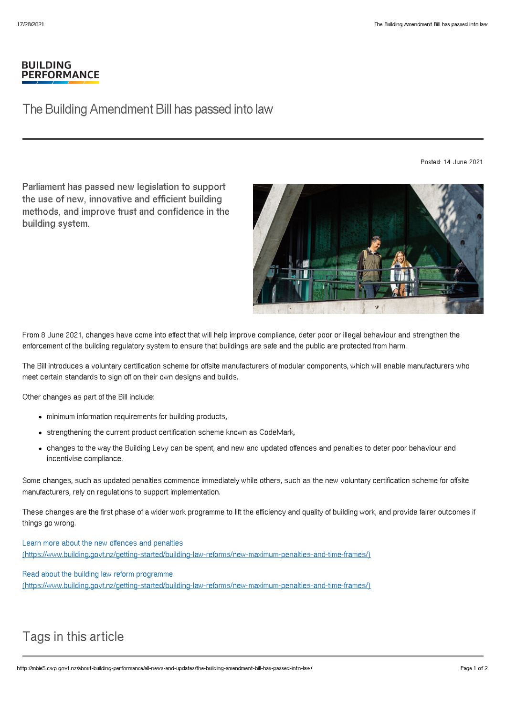## **BUILDING PERFORMANCE**

## The Building Amendment Bill has passed into law

Posted: 14 June 2021

Parliament has passed new legislation to support the use of new, innovative and efficient building methods, and improve trust and confidence in the building system.



From 8 June 2021, changes have come into effect that will help improve compliance, deter poor or illegal behaviour and strengthen the enforcement of the building regulatory system to ensure that buildings are safe and the public are protected from harm.

The Bill introduces a voluntary certification scheme for offsite manufacturers of modular components, which will enable manufacturers who meet certain standards to sign off on their own designs and builds.

Other changes as part of the Bill include:

- minimum information requirements for building products,
- strengthening the current product certification scheme known as CodeMark,
- changes to the way the Building Levy can be spent, and new and updated offences and penalties to deter poor behaviour and incentivise compliance.

Some changes, such as updated penalties commence immediately while others, such as the new voluntary certification scheme for offsite manufacturers, rely on regulations to support implementation.

These changes are the first phase of a wider work programme to lift the efficiency and quality of building work, and provide fairer outcomes if things go wrong.

Learn more about the new offences and penalties [\(https://www.building.govt.nz/getting-started/building-law-reforms/new-maximum-penalties-and-time-frames/\)](http://mbie5.cwp.govt.nz/getting-started/building-law-reforms/new-maximum-penalties-and-time-frames/)

Read about the building law reform programme [\(https://www.building.govt.nz/getting-started/building-law-reforms/new-maximum-penalties-and-time-frames/\)](http://mbie5.cwp.govt.nz/getting-started/building-law-reforms/new-maximum-penalties-and-time-frames/)

## Tags in this article